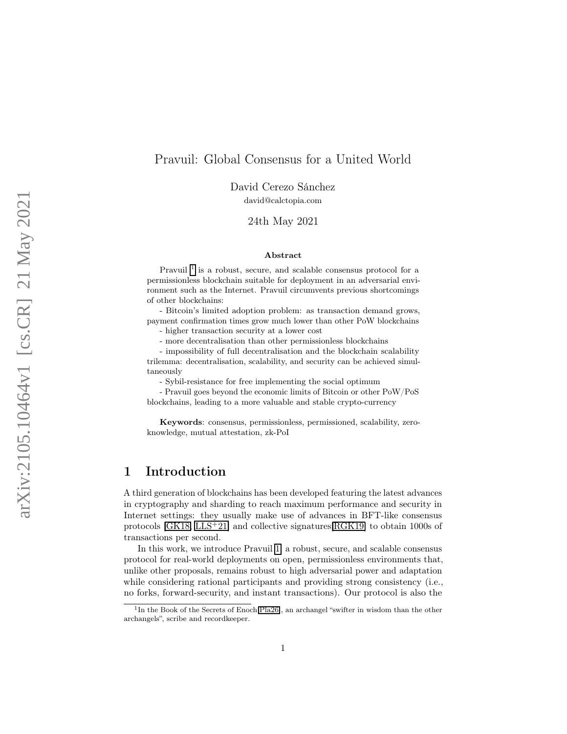## Pravuil: Global Consensus for a United World

David Cerezo Sánchez

david@calctopia.com

24th May 2021

#### Abstract

Pravuil<sup>[1](#page-0-0)</sup> is a robust, secure, and scalable consensus protocol for a permissionless blockchain suitable for deployment in an adversarial environment such as the Internet. Pravuil circumvents previous shortcomings of other blockchains:

- Bitcoin's limited adoption problem: as transaction demand grows, payment confirmation times grow much lower than other PoW blockchains - higher transaction security at a lower cost

- more decentralisation than other permissionless blockchains

- impossibility of full decentralisation and the blockchain scalability trilemma: decentralisation, scalability, and security can be achieved simultaneously

- Sybil-resistance for free implementing the social optimum

- Pravuil goes beyond the economic limits of Bitcoin or other PoW/PoS blockchains, leading to a more valuable and stable crypto-currency

Keywords: consensus, permissionless, permissioned, scalability, zeroknowledge, mutual attestation, zk-PoI

# 1 Introduction

A third generation of blockchains has been developed featuring the latest advances in cryptography and sharding to reach maximum performance and security in Internet settings: they usually make use of advances in BFT-like consensus protocols [\[GK18](#page-19-0) , [LLS](#page-21-0) <sup>+</sup>21] and collective signatures[\[RGK19\]](#page-21-1) to obtain 1000s of transactions per second.

In this work, we introduce Pravuil [1,](#page-0-0) a robust, secure, and scalable consensus protocol for real-world deployments on open, permissionless environments that, unlike other proposals, remains robust to high adversarial power and adaptation while considering rational participants and providing strong consistency (i.e., no forks, forward-security, and instant transactions). Our protocol is also the

<span id="page-0-0"></span><sup>&</sup>lt;sup>1</sup>In the Book of the Secrets of Enoch<sup>[\[Pla26\]](#page-21-2)</sup>, an archangel "swifter in wisdom than the other archangels", scribe and recordkeeper.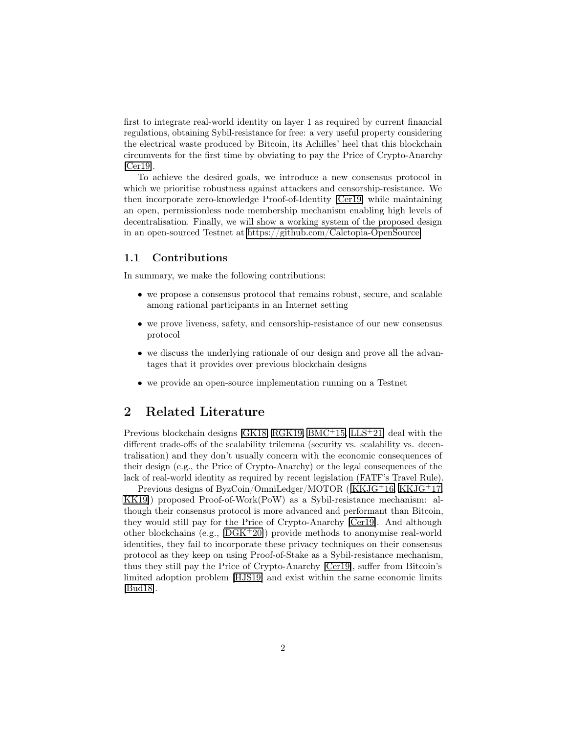first to integrate real-world identity on layer 1 as required by current financial regulations, obtaining Sybil-resistance for free: a very useful property considering the electrical waste produced by Bitcoin, its Achilles' heel that this blockchain circumvents for the first time by obviating to pay the Price of Crypto-Anarchy [\[Cer19\]](#page-18-0).

To achieve the desired goals, we introduce a new consensus protocol in which we prioritise robustness against attackers and censorship-resistance. We then incorporate zero-knowledge Proof-of-Identity [\[Cer19\]](#page-18-0) while maintaining an open, permissionless node membership mechanism enabling high levels of decentralisation. Finally, we will show a working system of the proposed design in an open-sourced Testnet at [https://github.com/Calctopia-OpenSource.](https://github.com/Calctopia-OpenSource)

#### 1.1 Contributions

In summary, we make the following contributions:

- we propose a consensus protocol that remains robust, secure, and scalable among rational participants in an Internet setting
- we prove liveness, safety, and censorship-resistance of our new consensus protocol
- we discuss the underlying rationale of our design and prove all the advantages that it provides over previous blockchain designs
- we provide an open-source implementation running on a Testnet

## 2 Related Literature

Previous blockchain designs [\[GK18,](#page-19-0) [RGK19,](#page-21-1) [BMC](#page-17-0)<sup>+</sup>15, [LLS](#page-21-0)<sup>+</sup>21] deal with the different trade-offs of the scalability trilemma (security vs. scalability vs. decentralisation) and they don't usually concern with the economic consequences of their design (e.g., the Price of Crypto-Anarchy) or the legal consequences of the lack of real-world identity as required by recent legislation (FATF's Travel Rule).

Previous designs of ByzCoin/OmniLedger/MOTOR ([\[KKJG](#page-20-0)+16, [KKJG](#page-20-1)+17, [KK19\]](#page-20-2)) proposed Proof-of-Work(PoW) as a Sybil-resistance mechanism: although their consensus protocol is more advanced and performant than Bitcoin, they would still pay for the Price of Crypto-Anarchy [\[Cer19\]](#page-18-0). And although other blockchains (e.g., [\[DGK](#page-18-1)<sup>+</sup>20]) provide methods to anonymise real-world identities, they fail to incorporate these privacy techniques on their consensus protocol as they keep on using Proof-of-Stake as a Sybil-resistance mechanism, thus they still pay the Price of Crypto-Anarchy [\[Cer19\]](#page-18-0), suffer from Bitcoin's limited adoption problem [\[HJS19\]](#page-20-3) and exist within the same economic limits [\[Bud18\]](#page-18-2).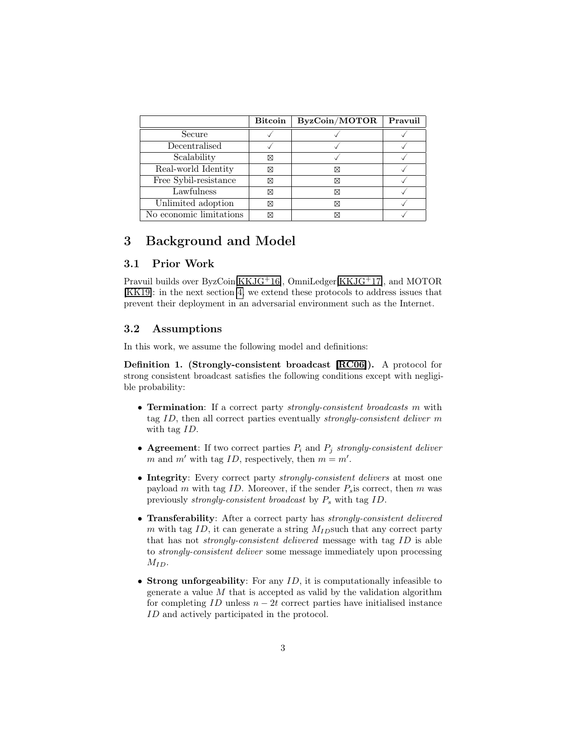|                         | <b>Bitcoin</b> | ByzCoin/MOTOR | Pravuil |
|-------------------------|----------------|---------------|---------|
| Secure                  |                |               |         |
| Decentralised           |                |               |         |
| Scalability             | ⊠              |               |         |
| Real-world Identity     | ⊠              | ⊠             |         |
| Free Sybil-resistance   | ⊠              | ⊠             |         |
| Lawfulness              | ⊠              | ⊠             |         |
| Unlimited adoption      | ⊠              | ⊠             |         |
| No economic limitations | ⊠              |               |         |

## 3 Background and Model

#### 3.1 Prior Work

Pravuil builds over ByzCoin[\[KKJG](#page-20-0)+16], OmniLedger[\[KKJG](#page-20-1)+17], and MOTOR [\[KK19\]](#page-20-2): in the next section [4,](#page-3-0) we extend these protocols to address issues that prevent their deployment in an adversarial environment such as the Internet.

### 3.2 Assumptions

In this work, we assume the following model and definitions:

Definition 1. (Strongly-consistent broadcast [\[RC06\]](#page-21-3)). A protocol for strong consistent broadcast satisfies the following conditions except with negligible probability:

- Termination: If a correct party strongly-consistent broadcasts m with tag ID, then all correct parties eventually strongly-consistent deliver m with tag ID.
- Agreement: If two correct parties  $P_i$  and  $P_j$  strongly-consistent deliver m and m' with tag ID, respectively, then  $m = m'$ .
- Integrity: Every correct party *strongly-consistent delivers* at most one payload m with tag ID. Moreover, if the sender  $P_s$  is correct, then m was previously strongly-consistent broadcast by  $P_s$  with tag ID.
- Transferability: After a correct party has *strongly-consistent delivered* m with tag ID, it can generate a string  $M_{ID}$ such that any correct party that has not strongly-consistent delivered message with tag ID is able to strongly-consistent deliver some message immediately upon processing  $M_{ID}$ .
- Strong unforgeability: For any  $ID$ , it is computationally infeasible to generate a value  $M$  that is accepted as valid by the validation algorithm for completing  $ID$  unless  $n - 2t$  correct parties have initialised instance ID and actively participated in the protocol.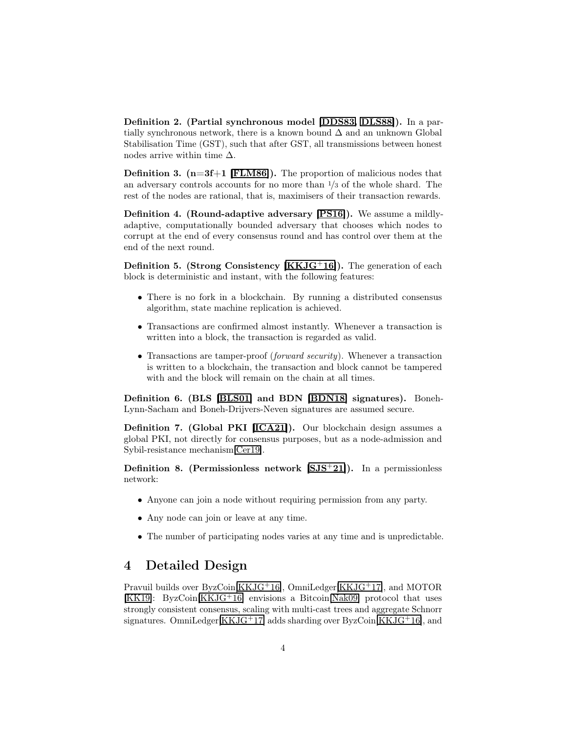Definition 2. (Partial synchronous model [\[DDS83,](#page-18-3) [DLS88\]](#page-18-4)). In a partially synchronous network, there is a known bound  $\Delta$  and an unknown Global Stabilisation Time (GST), such that after GST, all transmissions between honest nodes arrive within time  $\Delta$ .

**Definition 3.** ( $n=3f+1$  [\[FLM86\]](#page-19-1)). The proportion of malicious nodes that an adversary controls accounts for no more than  $\frac{1}{3}$  of the whole shard. The rest of the nodes are rational, that is, maximisers of their transaction rewards.

Definition 4. (Round-adaptive adversary [\[PS16\]](#page-21-4)). We assume a mildlyadaptive, computationally bounded adversary that chooses which nodes to corrupt at the end of every consensus round and has control over them at the end of the next round.

Definition 5. (Strong Consistency [\[KKJG](#page-20-0)<sup>+</sup>16]). The generation of each block is deterministic and instant, with the following features:

- There is no fork in a blockchain. By running a distributed consensus algorithm, state machine replication is achieved.
- Transactions are confirmed almost instantly. Whenever a transaction is written into a block, the transaction is regarded as valid.
- Transactions are tamper-proof (forward security). Whenever a transaction is written to a blockchain, the transaction and block cannot be tampered with and the block will remain on the chain at all times.

Definition 6. (BLS [\[BLS01\]](#page-17-1) and BDN [\[BDN18\]](#page-17-2) signatures). Boneh-Lynn-Sacham and Boneh-Drijvers-Neven signatures are assumed secure.

Definition 7. (Global PKI [\[ICA21\]](#page-20-4)). Our blockchain design assumes a global PKI, not directly for consensus purposes, but as a node-admission and Sybil-resistance mechanism[\[Cer19\]](#page-18-0).

Definition 8. (Permissionless network [\[SJS](#page-21-5)<sup>+</sup>21]). In a permissionless network:

- Anyone can join a node without requiring permission from any party.
- Any node can join or leave at any time.
- The number of participating nodes varies at any time and is unpredictable.

### <span id="page-3-0"></span>4 Detailed Design

Pravuil builds over ByzCoin[\[KKJG](#page-20-0)<sup>+</sup>16], OmniLedger[\[KKJG](#page-20-1)<sup>+</sup>17], and MOTOR [\[KK19\]](#page-20-2): ByzCoin[\[KKJG](#page-20-0)<sup>+</sup>16] envisions a Bitcoin[\[Nak09\]](#page-21-6) protocol that uses strongly consistent consensus, scaling with multi-cast trees and aggregate Schnorr signatures. OmniLedger[\[KKJG](#page-20-1)<sup>+</sup>17] adds sharding over ByzCoin[\[KKJG](#page-20-0)<sup>+</sup>16], and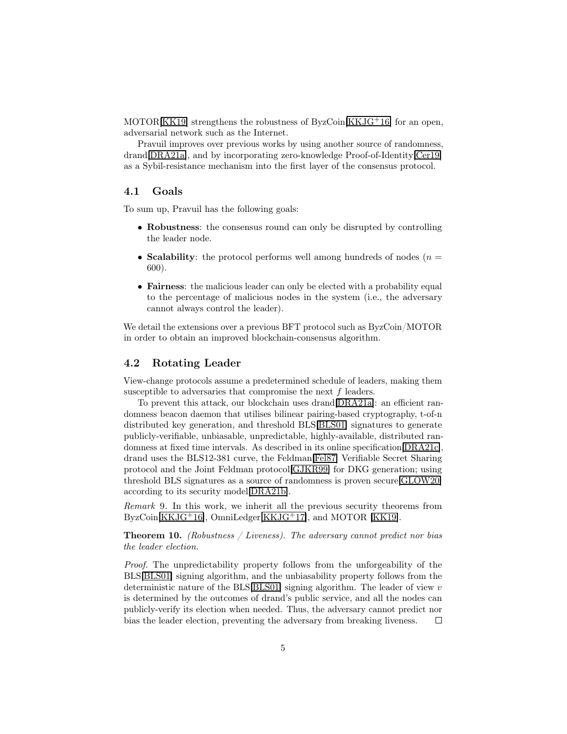MOTOR[\[KK19\]](#page-20-2) strengthens the robustness of ByzCoin[\[KKJG](#page-20-0)+16] for an open, adversarial network such as the Internet.

Pravuil improves over previous works by using another source of randomness, drand[\[DRA21a\]](#page-18-5), and by incorporating zero-knowledge Proof-of-Identity[\[Cer19\]](#page-18-0) as a Sybil-resistance mechanism into the first layer of the consensus protocol.

#### 4.1 Goals

To sum up, Pravuil has the following goals:

- Robustness: the consensus round can only be disrupted by controlling the leader node.
- Scalability: the protocol performs well among hundreds of nodes  $(n =$ 600).
- Fairness: the malicious leader can only be elected with a probability equal to the percentage of malicious nodes in the system (i.e., the adversary cannot always control the leader).

We detail the extensions over a previous BFT protocol such as ByzCoin/MOTOR in order to obtain an improved blockchain-consensus algorithm.

#### <span id="page-4-1"></span>4.2 Rotating Leader

View-change protocols assume a predetermined schedule of leaders, making them susceptible to adversaries that compromise the next f leaders.

To prevent this attack, our blockchain uses drand[\[DRA21a\]](#page-18-5): an efficient randomness beacon daemon that utilises bilinear pairing-based cryptography, t-of-n distributed key generation, and threshold BLS[\[BLS01\]](#page-17-1) signatures to generate publicly-verifiable, unbiasable, unpredictable, highly-available, distributed randomness at fixed time intervals. As described in its online specification[\[DRA21c\]](#page-19-2), drand uses the BLS12-381 curve, the Feldman[\[Fel87\]](#page-19-3) Verifiable Secret Sharing protocol and the Joint Feldman protocol[\[GJKR99\]](#page-19-4) for DKG generation; using threshold BLS signatures as a source of randomness is proven secure[\[GLOW20\]](#page-20-5) according to its security model[\[DRA21b\]](#page-18-6).

Remark 9. In this work, we inherit all the previous security theorems from ByzCoin[\[KKJG](#page-20-0)<sup>+</sup>16], OmniLedger[\[KKJG](#page-20-1)<sup>+</sup>17], and MOTOR [\[KK19\]](#page-20-2).

<span id="page-4-0"></span>**Theorem 10.** (Robustness / Liveness). The adversary cannot predict nor bias the leader election.

Proof. The unpredictability property follows from the unforgeability of the BLS[\[BLS01\]](#page-17-1) signing algorithm, and the unbiasability property follows from the deterministic nature of the BLS[\[BLS01\]](#page-17-1) signing algorithm. The leader of view  $v$ is determined by the outcomes of drand's public service, and all the nodes can publicly-verify its election when needed. Thus, the adversary cannot predict nor bias the leader election, preventing the adversary from breaking liveness.  $\Box$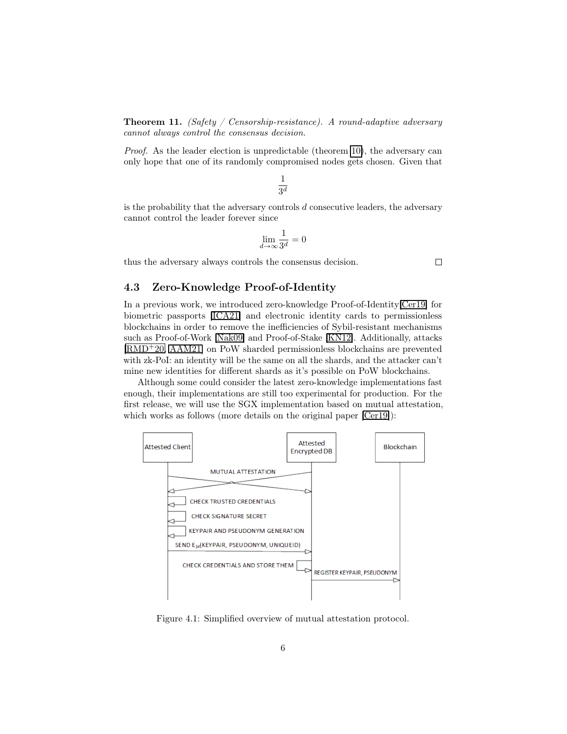<span id="page-5-1"></span>**Theorem 11.** (Safety / Censorship-resistance). A round-adaptive adversary cannot always control the consensus decision.

Proof. As the leader election is unpredictable (theorem [10\)](#page-4-0), the adversary can only hope that one of its randomly compromised nodes gets chosen. Given that

$$
\frac{1}{3^d}
$$

is the probability that the adversary controls  $d$  consecutive leaders, the adversary cannot control the leader forever since

$$
\lim_{d\to\infty}\frac{1}{3^d}=0
$$

 $\Box$ 

thus the adversary always controls the consensus decision.

#### <span id="page-5-0"></span>4.3 Zero-Knowledge Proof-of-Identity

In a previous work, we introduced zero-knowledge Proof-of-Identity[\[Cer19\]](#page-18-0) for biometric passports [\[ICA21\]](#page-20-4) and electronic identity cards to permissionless blockchains in order to remove the inefficiencies of Sybil-resistant mechanisms such as Proof-of-Work [\[Nak09\]](#page-21-6) and Proof-of-Stake [\[KN12\]](#page-20-6). Additionally, attacks [\[RMD](#page-21-7)<sup>+</sup>20, [AAM21\]](#page-17-3) on PoW sharded permissionless blockchains are prevented with zk-PoI: an identity will be the same on all the shards, and the attacker can't mine new identities for different shards as it's possible on PoW blockchains.

Although some could consider the latest zero-knowledge implementations fast enough, their implementations are still too experimental for production. For the first release, we will use the SGX implementation based on mutual attestation, which works as follows (more details on the original paper  $[*C*er19]$ ):



Figure 4.1: Simplified overview of mutual attestation protocol.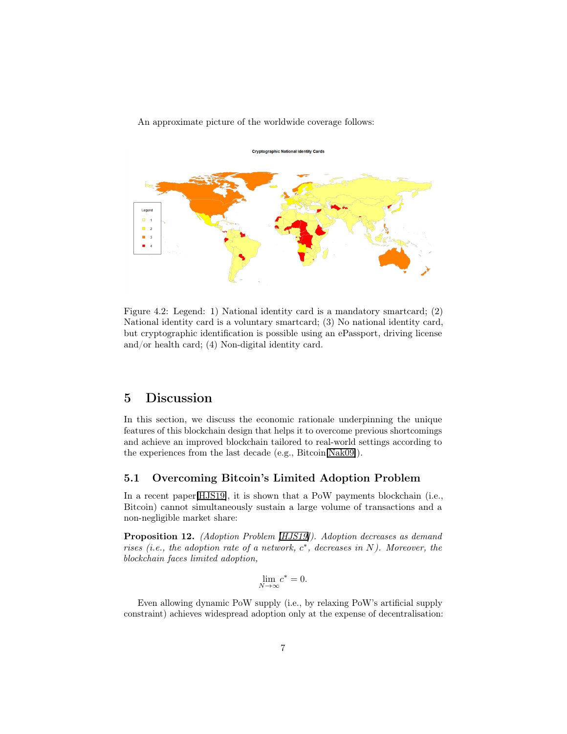#### An approximate picture of the worldwide coverage follows:



Figure 4.2: Legend: 1) National identity card is a mandatory smartcard; (2) National identity card is a voluntary smartcard; (3) No national identity card, but cryptographic identification is possible using an ePassport, driving license and/or health card; (4) Non-digital identity card.

## 5 Discussion

In this section, we discuss the economic rationale underpinning the unique features of this blockchain design that helps it to overcome previous shortcomings and achieve an improved blockchain tailored to real-world settings according to the experiences from the last decade (e.g., Bitcoin[\[Nak09\]](#page-21-6)).

#### <span id="page-6-0"></span>5.1 Overcoming Bitcoin's Limited Adoption Problem

In a recent paper[\[HJS19\]](#page-20-3), it is shown that a PoW payments blockchain (i.e., Bitcoin) cannot simultaneously sustain a large volume of transactions and a non-negligible market share:

Proposition 12. (Adoption Problem [\[HJS19\]](#page-20-3)). Adoption decreases as demand rises (i.e., the adoption rate of a network,  $c^*$ , decreases in N). Moreover, the blockchain faces limited adoption,

$$
\lim_{N \to \infty} c^* = 0.
$$

Even allowing dynamic PoW supply (i.e., by relaxing PoW's artificial supply constraint) achieves widespread adoption only at the expense of decentralisation: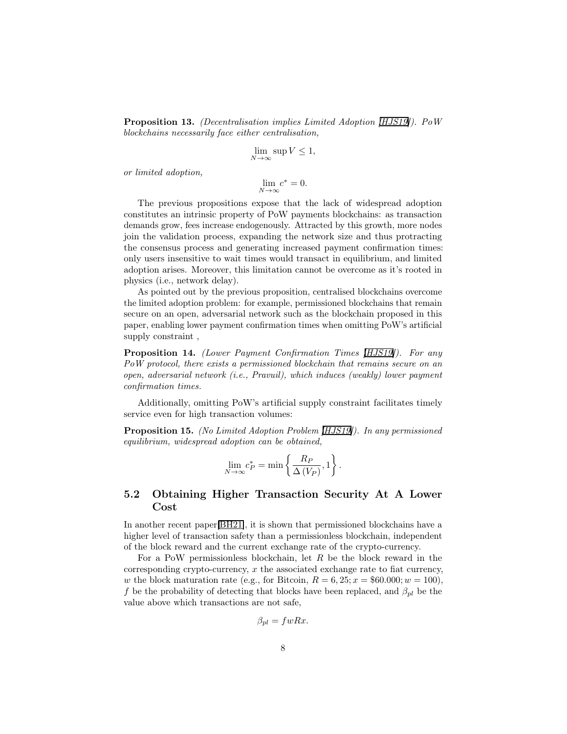Proposition 13. (Decentralisation implies Limited Adoption [\[HJS19\]](#page-20-3)). PoW blockchains necessarily face either centralisation,

$$
\lim_{N \to \infty} \sup V \le 1,
$$

or limited adoption,

$$
\lim_{N \to \infty} c^* = 0.
$$

The previous propositions expose that the lack of widespread adoption constitutes an intrinsic property of PoW payments blockchains: as transaction demands grow, fees increase endogenously. Attracted by this growth, more nodes join the validation process, expanding the network size and thus protracting the consensus process and generating increased payment confirmation times: only users insensitive to wait times would transact in equilibrium, and limited adoption arises. Moreover, this limitation cannot be overcome as it's rooted in physics (i.e., network delay).

As pointed out by the previous proposition, centralised blockchains overcome the limited adoption problem: for example, permissioned blockchains that remain secure on an open, adversarial network such as the blockchain proposed in this paper, enabling lower payment confirmation times when omitting PoW's artificial supply constraint ,

Proposition 14. (Lower Payment Confirmation Times [\[HJS19\]](#page-20-3)). For any PoW protocol, there exists a permissioned blockchain that remains secure on an open, adversarial network (i.e., Pravuil), which induces (weakly) lower payment confirmation times.

Additionally, omitting PoW's artificial supply constraint facilitates timely service even for high transaction volumes:

Proposition 15. (No Limited Adoption Problem [\[HJS19\]](#page-20-3)). In any permissioned equilibrium, widespread adoption can be obtained,

$$
\lim_{N \to \infty} c_P^* = \min \left\{ \frac{R_P}{\Delta(V_P)}, 1 \right\}.
$$

### <span id="page-7-0"></span>5.2 Obtaining Higher Transaction Security At A Lower Cost

In another recent paper[\[BH21\]](#page-17-4), it is shown that permissioned blockchains have a higher level of transaction safety than a permissionless blockchain, independent of the block reward and the current exchange rate of the crypto-currency.

For a PoW permissionless blockchain, let  $R$  be the block reward in the corresponding crypto-currency, x the associated exchange rate to fiat currency, w the block maturation rate (e.g., for Bitcoin,  $R = 6, 25; x = $60.000; w = 100$ ), f be the probability of detecting that blocks have been replaced, and  $\beta_{pl}$  be the value above which transactions are not safe,

$$
\beta_{pl} = fwRx.
$$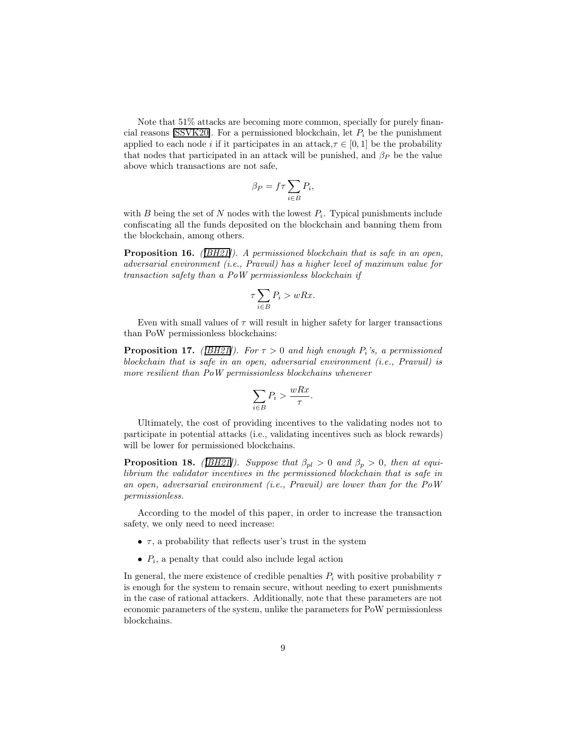Note that 51% attacks are becoming more common, specially for purely finan-cial reasons [\[SSVK20\]](#page-21-8). For a permissioned blockchain, let  $P_i$  be the punishment applied to each node i if it participates in an attack,  $\tau \in [0, 1]$  be the probability that nodes that participated in an attack will be punished, and  $\beta_P$  be the value above which transactions are not safe,

$$
\beta_P = f \tau \sum_{i \in B} P_i,
$$

with  $B$  being the set of  $N$  nodes with the lowest  $P_i$ . Typical punishments include confiscating all the funds deposited on the blockchain and banning them from the blockchain, among others.

Proposition 16. *([\[BH21\]](#page-17-4))*. A permissioned blockchain that is safe in an open, adversarial environment (i.e., Pravuil) has a higher level of maximum value for transaction safety than a PoW permissionless blockchain if

$$
\tau \sum_{i \in B} P_i > wRx.
$$

Even with small values of  $\tau$  will result in higher safety for larger transactions than PoW permissionless blockchains:

**Proposition 17.** ([\[BH21\]](#page-17-4)). For  $\tau > 0$  and high enough  $P_i$ 's, a permissioned blockchain that is safe in an open, adversarial environment (i.e., Pravuil) is more resilient than PoW permissionless blockchains whenever

$$
\sum_{i \in B} P_i > \frac{wRx}{\tau}.
$$

Ultimately, the cost of providing incentives to the validating nodes not to participate in potential attacks (i.e., validating incentives such as block rewards) will be lower for permissioned blockchains.

**Proposition 18.** ([\[BH21\]](#page-17-4)). Suppose that  $\beta_{pl} > 0$  and  $\beta_p > 0$ , then at equilibrium the validator incentives in the permissioned blockchain that is safe in an open, adversarial environment (i.e., Pravuil) are lower than for the PoW permissionless.

According to the model of this paper, in order to increase the transaction safety, we only need to need increase:

- $\tau$ , a probability that reflects user's trust in the system
- $P_i$ , a penalty that could also include legal action

In general, the mere existence of credible penalties  $P_i$  with positive probability  $\tau$ is enough for the system to remain secure, without needing to exert punishments in the case of rational attackers. Additionally, note that these parameters are not economic parameters of the system, unlike the parameters for PoW permissionless blockchains.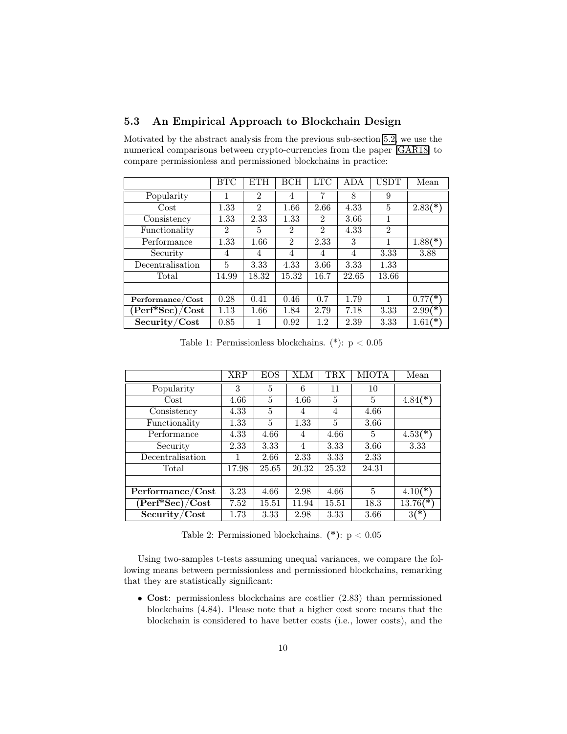### 5.3 An Empirical Approach to Blockchain Design

Motivated by the abstract analysis from the previous sub-section [5.2,](#page-7-0) we use the numerical comparisons between crypto-currencies from the paper [\[GAR18\]](#page-19-5) to compare permissionless and permissioned blockchains in practice:

|                                            | BTC            | <b>ETH</b>     | BCH            | LTC            | ADA   | USDT           | Mean                    |
|--------------------------------------------|----------------|----------------|----------------|----------------|-------|----------------|-------------------------|
| Popularity                                 | 1              | $\overline{2}$ | 4              | 7              | 8     | 9              |                         |
| $\cos t$                                   | 1.33           | $\overline{2}$ | 1.66           | 2.66           | 4.33  | 5              | $2.83$ <sup>(*)</sup>   |
| Consistency                                | 1.33           | 2.33           | 1.33           | 2              | 3.66  |                |                         |
| Functionality                              | $\overline{2}$ | 5              | $\mathfrak{D}$ | $\mathfrak{D}$ | 4.33  | $\overline{2}$ |                         |
| Performance                                | 1.33           | 1.66           | $\overline{2}$ | 2.33           | 3     |                | $1.88$ <sup>(*)</sup> ) |
| Security                                   | 4              | 4              | 4              | 4              | 4     | 3.33           | 3.88                    |
| Decentralisation                           | 5              | 3.33           | 4.33           | 3.66           | 3.33  | 1.33           |                         |
| Total                                      | 14.99          | 18.32          | 15.32          | 16.7           | 22.65 | 13.66          |                         |
|                                            |                |                |                |                |       |                |                         |
| Performance/Cost                           | 0.28           | 0.41           | 0.46           | 0.7            | 1.79  | 1              | $0.77$ (*)              |
| $\overline{\text{(Perf*Sec)}}/\text{Cost}$ | 1.13           | 1.66           | 1.84           | 2.79           | 7.18  | 3.33           | $2.99(*)$               |
| Security/Cost                              | 0.85           |                | 0.92           | 1.2            | 2.39  | 3.33           | $1.61$ (*)              |

Table 1: Permissionless blockchains. (\*):  $p < 0.05$ 

|                                                                     | <b>XRP</b> | EOS   | XLM   | $\rm{TRX}$     | MIOTA | Mean       |
|---------------------------------------------------------------------|------------|-------|-------|----------------|-------|------------|
| Popularity                                                          | 3          | 5     | 6     | 11             | 10    |            |
| Cost                                                                | 4.66       | 5     | 4.66  | 5              | 5     | $4.84$ (*  |
| Consistency                                                         | 4.33       | 5     | 4     | $\overline{4}$ | 4.66  |            |
| Functionality                                                       | 1.33       | 5     | 1.33  | 5              | 3.66  |            |
| Performance                                                         | 4.33       | 4.66  | 4     | 4.66           | 5     | $4.53(*)$  |
| Security                                                            | 2.33       | 3.33  | 4     | 3.33           | 3.66  | 3.33       |
| Decentralisation                                                    |            | 2.66  | 2.33  | 3.33           | 2.33  |            |
| Total                                                               | 17.98      | 25.65 | 20.32 | 25.32          | 24.31 |            |
|                                                                     |            |       |       |                |       |            |
| $\overline{\mathop{\mathrm{Per}}\nolimits}$ formance/Cost           | 3.23       | 4.66  | 2.98  | 4.66           | 5     | $4.10(*)$  |
| $(\operatorname{Perf}^*\!\operatorname{Sec})/\!\operatorname{Cost}$ | 7.52       | 15.51 | 11.94 | 15.51          | 18.3  | $13.76(*)$ |
| Security/Cost                                                       | 1.73       | 3.33  | 2.98  | 3.33           | 3.66  | $3(*)$     |

Table 2: Permissioned blockchains. (\*): p < 0.05

Using two-samples t-tests assuming unequal variances, we compare the following means between permissionless and permissioned blockchains, remarking that they are statistically significant:

• Cost: permissionless blockchains are costlier (2.83) than permissioned blockchains (4.84). Please note that a higher cost score means that the blockchain is considered to have better costs (i.e., lower costs), and the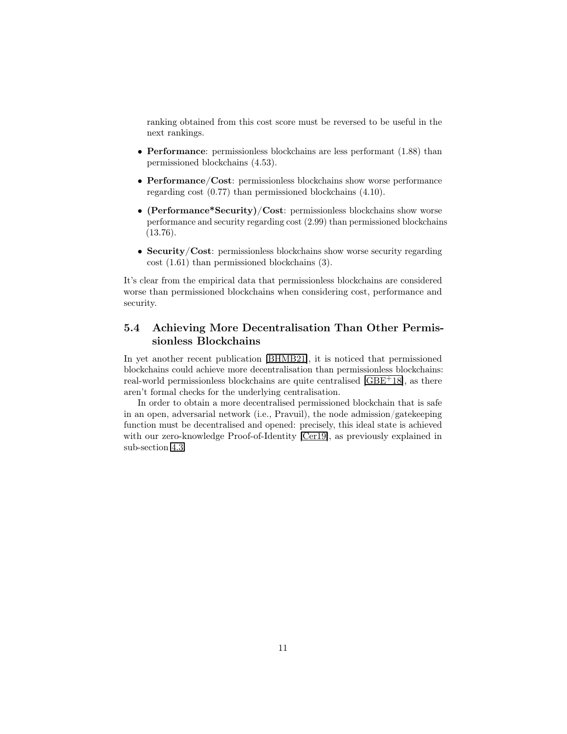ranking obtained from this cost score must be reversed to be useful in the next rankings.

- **Performance**: permissionless blockchains are less performant (1.88) than permissioned blockchains (4.53).
- Performance/Cost: permissionless blockchains show worse performance regarding cost (0.77) than permissioned blockchains (4.10).
- (Performance\*Security)/Cost: permissionless blockchains show worse performance and security regarding cost (2.99) than permissioned blockchains (13.76).
- Security/Cost: permissionless blockchains show worse security regarding cost (1.61) than permissioned blockchains (3).

It's clear from the empirical data that permissionless blockchains are considered worse than permissioned blockchains when considering cost, performance and security.

### <span id="page-10-0"></span>5.4 Achieving More Decentralisation Than Other Permissionless Blockchains

In yet another recent publication [\[BHMB21\]](#page-17-5), it is noticed that permissioned blockchains could achieve more decentralisation than permissionless blockchains: real-world permissionless blockchains are quite centralised [\[GBE](#page-19-6)<sup>+</sup>18], as there aren't formal checks for the underlying centralisation.

In order to obtain a more decentralised permissioned blockchain that is safe in an open, adversarial network (i.e., Pravuil), the node admission/gatekeeping function must be decentralised and opened: precisely, this ideal state is achieved with our zero-knowledge Proof-of-Identity [\[Cer19\]](#page-18-0), as previously explained in sub-section [4.3.](#page-5-0)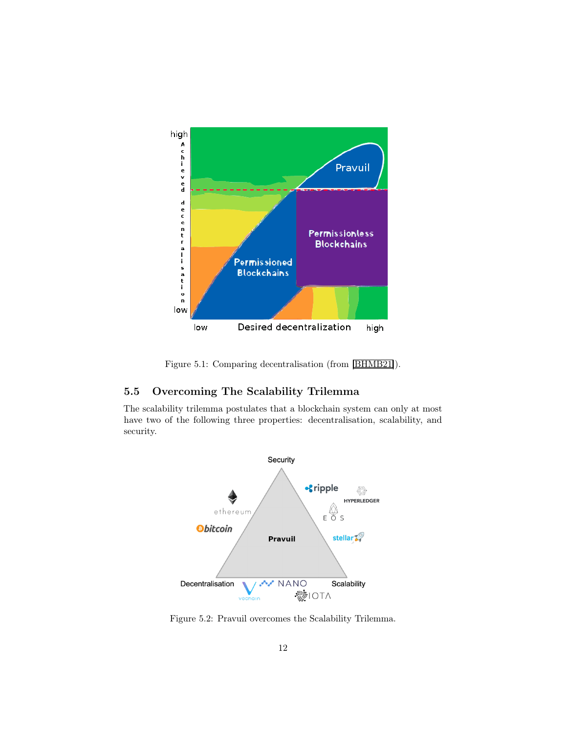

Figure 5.1: Comparing decentralisation (from [\[BHMB21\]](#page-17-5)).

### 5.5 Overcoming The Scalability Trilemma

The scalability trilemma postulates that a blockchain system can only at most have two of the following three properties: decentralisation, scalability, and security.



Figure 5.2: Pravuil overcomes the Scalability Trilemma.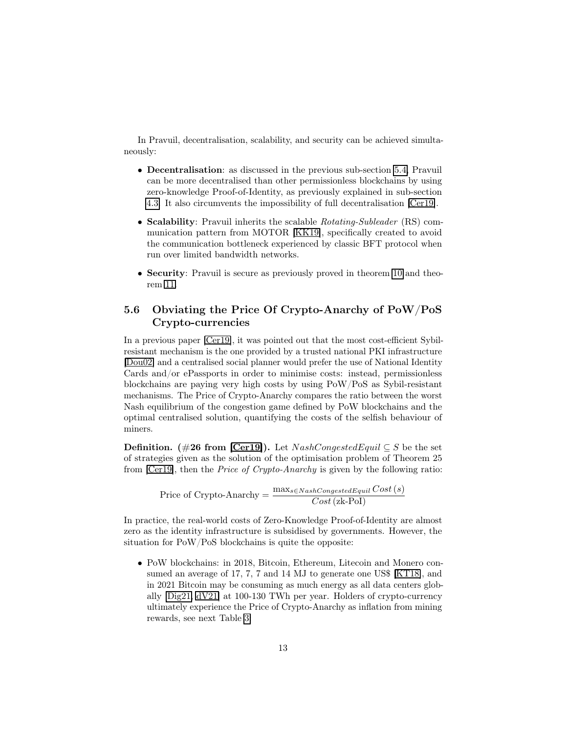In Pravuil, decentralisation, scalability, and security can be achieved simultaneously:

- Decentralisation: as discussed in the previous sub-section [5.4,](#page-10-0) Pravuil can be more decentralised than other permissionless blockchains by using zero-knowledge Proof-of-Identity, as previously explained in sub-section [4.3.](#page-5-0) It also circumvents the impossibility of full decentralisation [\[Cer19\]](#page-18-0).
- Scalability: Pravuil inherits the scalable Rotating-Subleader (RS) communication pattern from MOTOR [\[KK19\]](#page-20-2), specifically created to avoid the communication bottleneck experienced by classic BFT protocol when run over limited bandwidth networks.
- Security: Pravuil is secure as previously proved in theorem [10](#page-4-0) and theorem [11.](#page-5-1)

### 5.6 Obviating the Price Of Crypto-Anarchy of PoW/PoS Crypto-currencies

In a previous paper [\[Cer19\]](#page-18-0), it was pointed out that the most cost-efficient Sybilresistant mechanism is the one provided by a trusted national PKI infrastructure [\[Dou02\]](#page-18-7) and a centralised social planner would prefer the use of National Identity Cards and/or ePassports in order to minimise costs: instead, permissionless blockchains are paying very high costs by using PoW/PoS as Sybil-resistant mechanisms. The Price of Crypto-Anarchy compares the ratio between the worst Nash equilibrium of the congestion game defined by PoW blockchains and the optimal centralised solution, quantifying the costs of the selfish behaviour of miners.

**Definition.** (#26 from [\[Cer19\]](#page-18-0)). Let  $NashCongestedEquil \subseteq S$  be the set of strategies given as the solution of the optimisation problem of Theorem 25 from [\[Cer19\]](#page-18-0), then the Price of Crypto-Anarchy is given by the following ratio:

$$
Price of Crypto-Anarchy = \frac{\max_{s \in NashCongestedEquil} Cost(s)}{Cost (zk-Pol)}
$$

In practice, the real-world costs of Zero-Knowledge Proof-of-Identity are almost zero as the identity infrastructure is subsidised by governments. However, the situation for PoW/PoS blockchains is quite the opposite:

• PoW blockchains: in 2018, Bitcoin, Ethereum, Litecoin and Monero consumed an average of 17, 7, 7 and 14 MJ to generate one US\$ [\[KT18\]](#page-20-7), and in 2021 Bitcoin may be consuming as much energy as all data centers globally [\[Dig21,](#page-18-8) [dV21\]](#page-19-7) at 100-130 TWh per year. Holders of crypto-currency ultimately experience the Price of Crypto-Anarchy as inflation from mining rewards, see next Table [3:](#page-13-0)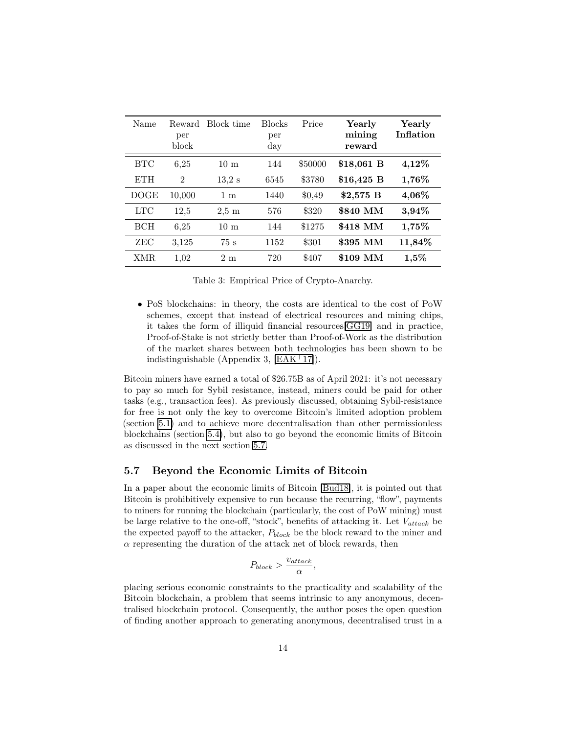| Name        | Reward<br>per<br>block | Block time      | <b>Blocks</b><br>per<br>day | Price   | Yearly<br>mining<br>reward | Yearly<br>Inflation |
|-------------|------------------------|-----------------|-----------------------------|---------|----------------------------|---------------------|
| <b>BTC</b>  | 6,25                   | 10 <sub>m</sub> | 144                         | \$50000 | \$18,061 B                 | 4,12%               |
| <b>ETH</b>  | $\overline{2}$         | 13.2 s          | 6545                        | \$3780  | $$16,425$ B                | 1,76%               |
| <b>DOGE</b> | 10,000                 | $1 \text{ m}$   | 1440                        | \$0,49  | $$2,575$ B                 | $4,06\%$            |
| LTC         | 12,5                   | $2.5 \text{ m}$ | 576                         | \$320   | \$840 MM                   | 3,94%               |
| <b>BCH</b>  | 6.25                   | 10 <sub>m</sub> | 144                         | \$1275  | \$418 MM                   | 1,75%               |
| ZEC         | 3,125                  | 75s             | 1152                        | \$301   | \$395 MM                   | 11,84%              |
| XMR.        | 1,02                   | 2m              | 720                         | \$407   | \$109 MM                   | $1,5\%$             |

<span id="page-13-0"></span>Table 3: Empirical Price of Crypto-Anarchy.

• PoS blockchains: in theory, the costs are identical to the cost of PoW schemes, except that instead of electrical resources and mining chips, it takes the form of illiquid financial resources[\[GG19\]](#page-19-8) and in practice, Proof-of-Stake is not strictly better than Proof-of-Work as the distribution of the market shares between both technologies has been shown to be indistinguishable (Appendix 3,  $[EAK^+17]$  $[EAK^+17]$ ).

Bitcoin miners have earned a total of \$26.75B as of April 2021: it's not necessary to pay so much for Sybil resistance, instead, miners could be paid for other tasks (e.g., transaction fees). As previously discussed, obtaining Sybil-resistance for free is not only the key to overcome Bitcoin's limited adoption problem (section [5.1\)](#page-6-0) and to achieve more decentralisation than other permissionless blockchains (section [5.4\)](#page-10-0), but also to go beyond the economic limits of Bitcoin as discussed in the next section [5.7.](#page-13-1)

#### <span id="page-13-1"></span>5.7 Beyond the Economic Limits of Bitcoin

In a paper about the economic limits of Bitcoin [\[Bud18\]](#page-18-2), it is pointed out that Bitcoin is prohibitively expensive to run because the recurring, "flow", payments to miners for running the blockchain (particularly, the cost of PoW mining) must be large relative to the one-off, "stock", benefits of attacking it. Let  $V_{attack}$  be the expected payoff to the attacker,  $P_{block}$  be the block reward to the miner and  $\alpha$  representing the duration of the attack net of block rewards, then

$$
P_{block} > \frac{v_{attack}}{\alpha},
$$

placing serious economic constraints to the practicality and scalability of the Bitcoin blockchain, a problem that seems intrinsic to any anonymous, decentralised blockchain protocol. Consequently, the author poses the open question of finding another approach to generating anonymous, decentralised trust in a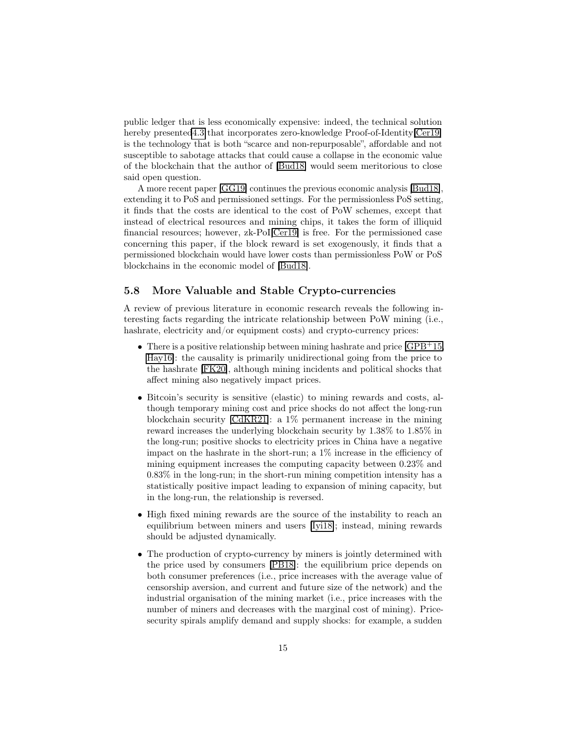public ledger that is less economically expensive: indeed, the technical solution hereby presente[d4.3](#page-5-0) that incorporates zero-knowledge Proof-of-Identity[\[Cer19\]](#page-18-0) is the technology that is both "scarce and non-repurposable", affordable and not susceptible to sabotage attacks that could cause a collapse in the economic value of the blockchain that the author of [\[Bud18\]](#page-18-2) would seem meritorious to close said open question.

A more recent paper [\[GG19\]](#page-19-8) continues the previous economic analysis [\[Bud18\]](#page-18-2), extending it to PoS and permissioned settings. For the permissionless PoS setting, it finds that the costs are identical to the cost of PoW schemes, except that instead of electrical resources and mining chips, it takes the form of illiquid financial resources; however, zk-PoI[\[Cer19\]](#page-18-0) is free. For the permissioned case concerning this paper, if the block reward is set exogenously, it finds that a permissioned blockchain would have lower costs than permissionless PoW or PoS blockchains in the economic model of [\[Bud18\]](#page-18-2).

#### 5.8 More Valuable and Stable Crypto-currencies

A review of previous literature in economic research reveals the following interesting facts regarding the intricate relationship between PoW mining (i.e., hashrate, electricity and/or equipment costs) and crypto-currency prices:

- There is a positive relationship between mining hashrate and price  $[\text{GPB+15}]$ , [Hay16\]](#page-20-9): the causality is primarily unidirectional going from the price to the hashrate [\[FK20\]](#page-19-10), although mining incidents and political shocks that affect mining also negatively impact prices.
- Bitcoin's security is sensitive (elastic) to mining rewards and costs, although temporary mining cost and price shocks do not affect the long-run blockchain security [\[CdKR21\]](#page-18-9): a 1% permanent increase in the mining reward increases the underlying blockchain security by 1.38% to 1.85% in the long-run; positive shocks to electricity prices in China have a negative impact on the hashrate in the short-run; a 1% increase in the efficiency of mining equipment increases the computing capacity between 0.23% and 0.83% in the long-run; in the short-run mining competition intensity has a statistically positive impact leading to expansion of mining capacity, but in the long-run, the relationship is reversed.
- High fixed mining rewards are the source of the instability to reach an equilibrium between miners and users [\[Iyi18\]](#page-20-10); instead, mining rewards should be adjusted dynamically.
- The production of crypto-currency by miners is jointly determined with the price used by consumers [\[PB18\]](#page-21-9): the equilibrium price depends on both consumer preferences (i.e., price increases with the average value of censorship aversion, and current and future size of the network) and the industrial organisation of the mining market (i.e., price increases with the number of miners and decreases with the marginal cost of mining). Pricesecurity spirals amplify demand and supply shocks: for example, a sudden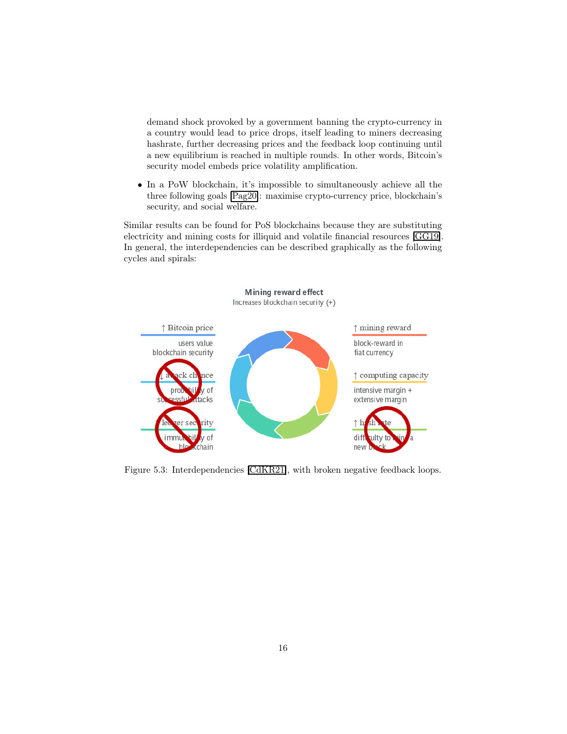demand shock provoked by a government banning the crypto-currency in a country would lead to price drops, itself leading to miners decreasing hashrate, further decreasing prices and the feedback loop continuing until a new equilibrium is reached in multiple rounds. In other words, Bitcoin's security model embeds price volatility amplification.

• In a PoW blockchain, it's impossible to simultaneously achieve all the three following goals [\[Pag20\]](#page-21-10): maximise crypto-currency price, blockchain's security, and social welfare.

Similar results can be found for PoS blockchains because they are substituting electricity and mining costs for illiquid and volatile financial resources [\[GG19\]](#page-19-8). In general, the interdependencies can be described graphically as the following cycles and spirals:



Figure 5.3: Interdependencies [\[CdKR21\]](#page-18-9), with broken negative feedback loops.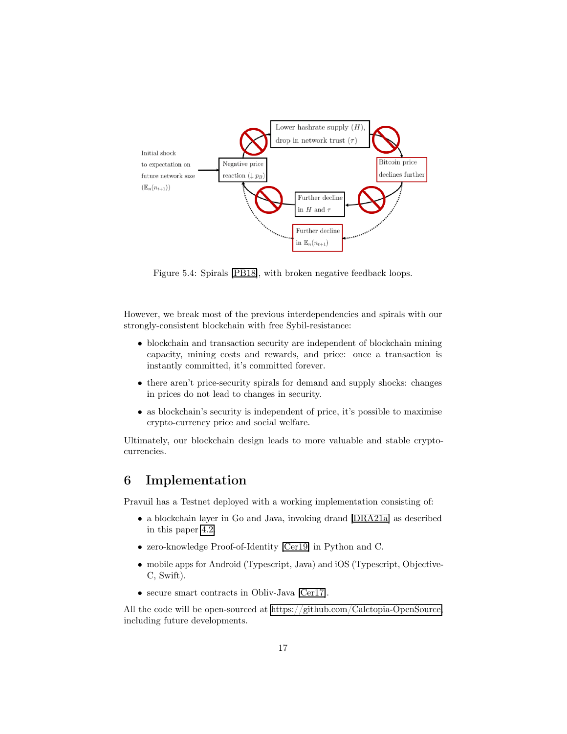

Figure 5.4: Spirals [\[PB18\]](#page-21-9), with broken negative feedback loops.

However, we break most of the previous interdependencies and spirals with our strongly-consistent blockchain with free Sybil-resistance:

- blockchain and transaction security are independent of blockchain mining capacity, mining costs and rewards, and price: once a transaction is instantly committed, it's committed forever.
- there aren't price-security spirals for demand and supply shocks: changes in prices do not lead to changes in security.
- as blockchain's security is independent of price, it's possible to maximise crypto-currency price and social welfare.

Ultimately, our blockchain design leads to more valuable and stable cryptocurrencies.

# 6 Implementation

Pravuil has a Testnet deployed with a working implementation consisting of:

- a blockchain layer in Go and Java, invoking drand [\[DRA21a\]](#page-18-5) as described in this paper [4.2.](#page-4-1)
- zero-knowledge Proof-of-Identity [\[Cer19\]](#page-18-0) in Python and C.
- mobile apps for Android (Typescript, Java) and iOS (Typescript, Objective-C, Swift).
- secure smart contracts in Obliv-Java [\[Cer17\]](#page-18-10).

All the code will be open-sourced at [https://github.com/Calctopia-OpenSource,](https://github.com/Calctopia-OpenSource) including future developments.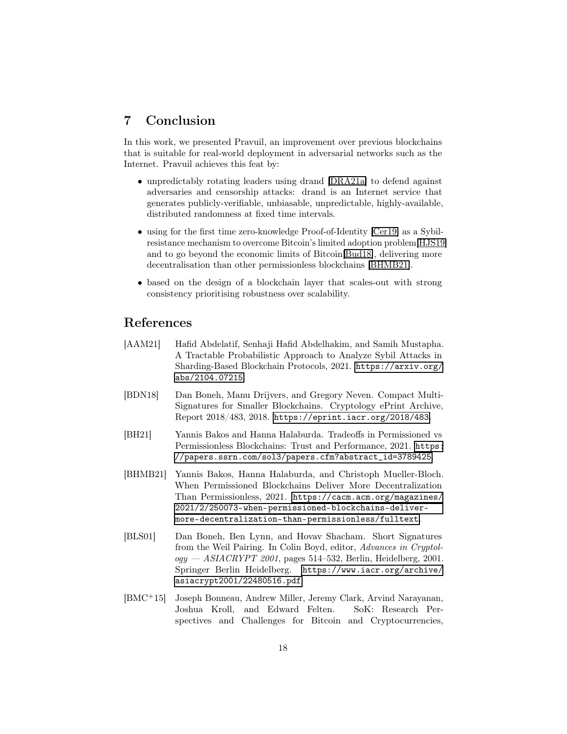### 7 Conclusion

In this work, we presented Pravuil, an improvement over previous blockchains that is suitable for real-world deployment in adversarial networks such as the Internet. Pravuil achieves this feat by:

- unpredictably rotating leaders using drand [\[DRA21a\]](#page-18-5) to defend against adversaries and censorship attacks: drand is an Internet service that generates publicly-verifiable, unbiasable, unpredictable, highly-available, distributed randomness at fixed time intervals.
- using for the first time zero-knowledge Proof-of-Identity [\[Cer19\]](#page-18-0) as a Sybilresistance mechanism to overcome Bitcoin's limited adoption problem[\[HJS19\]](#page-20-3) and to go beyond the economic limits of Bitcoin[\[Bud18\]](#page-18-2), delivering more decentralisation than other permissionless blockchains [\[BHMB21\]](#page-17-5).
- based on the design of a blockchain layer that scales-out with strong consistency prioritising robustness over scalability.

## References

- <span id="page-17-3"></span>[AAM21] Hafid Abdelatif, Senhaji Hafid Abdelhakim, and Samih Mustapha. A Tractable Probabilistic Approach to Analyze Sybil Attacks in Sharding-Based Blockchain Protocols, 2021. [https://arxiv.org/](https://arxiv.org/abs/2104.07215) [abs/2104.07215](https://arxiv.org/abs/2104.07215).
- <span id="page-17-2"></span>[BDN18] Dan Boneh, Manu Drijvers, and Gregory Neven. Compact Multi-Signatures for Smaller Blockchains. Cryptology ePrint Archive, Report 2018/483, 2018. <https://eprint.iacr.org/2018/483>.
- <span id="page-17-4"></span>[BH21] Yannis Bakos and Hanna Halaburda. Tradeoffs in Permissioned vs Permissionless Blockchains: Trust and Performance, 2021. [https:](https://papers.ssrn.com/sol3/papers.cfm?abstract_id=3789425) [//papers.ssrn.com/sol3/papers.cfm?abstract\\_id=3789425](https://papers.ssrn.com/sol3/papers.cfm?abstract_id=3789425).
- <span id="page-17-5"></span>[BHMB21] Yannis Bakos, Hanna Halaburda, and Christoph Mueller-Bloch. When Permissioned Blockchains Deliver More Decentralization Than Permissionless, 2021. [https://cacm.acm.org/magazines/](https://cacm.acm.org/magazines/2021/2/250073-when-permissioned-blockchains-deliver-more-decentralization-than-permissionless/fulltext) [2021/2/250073-when-permissioned-blockchains-deliver](https://cacm.acm.org/magazines/2021/2/250073-when-permissioned-blockchains-deliver-more-decentralization-than-permissionless/fulltext)[more-decentralization-than-permissionless/fulltext](https://cacm.acm.org/magazines/2021/2/250073-when-permissioned-blockchains-deliver-more-decentralization-than-permissionless/fulltext).
- <span id="page-17-1"></span>[BLS01] Dan Boneh, Ben Lynn, and Hovav Shacham. Short Signatures from the Weil Pairing. In Colin Boyd, editor, Advances in Cryptol $ogy - ASIACRYPT 2001$ , pages 514–532, Berlin, Heidelberg, 2001. Springer Berlin Heidelberg. [https://www.iacr.org/archive/](https://www.iacr.org/archive/asiacrypt2001/22480516.pdf) [asiacrypt2001/22480516.pdf](https://www.iacr.org/archive/asiacrypt2001/22480516.pdf).
- <span id="page-17-0"></span>[BMC<sup>+</sup>15] Joseph Bonneau, Andrew Miller, Jeremy Clark, Arvind Narayanan, Joshua Kroll, and Edward Felten. SoK: Research Perspectives and Challenges for Bitcoin and Cryptocurrencies,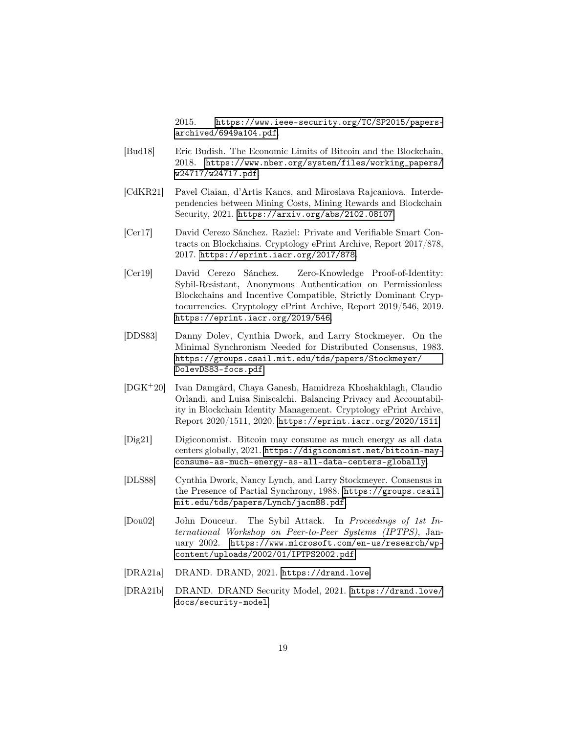2015. [https://www.ieee-security.org/TC/SP2015/papers](https://www.ieee-security.org/TC/SP2015/papers-archived/6949a104.pdf)[archived/6949a104.pdf](https://www.ieee-security.org/TC/SP2015/papers-archived/6949a104.pdf).

- <span id="page-18-2"></span>[Bud18] Eric Budish. The Economic Limits of Bitcoin and the Blockchain, 2018. [https://www.nber.org/system/files/working\\_papers/](https://www.nber.org/system/files/working_papers/w24717/w24717.pdf) [w24717/w24717.pdf](https://www.nber.org/system/files/working_papers/w24717/w24717.pdf).
- <span id="page-18-9"></span>[CdKR21] Pavel Ciaian, d'Artis Kancs, and Miroslava Rajcaniova. Interdependencies between Mining Costs, Mining Rewards and Blockchain Security, 2021. <https://arxiv.org/abs/2102.08107>.
- <span id="page-18-10"></span>[Cer17] David Cerezo Sánchez. Raziel: Private and Verifiable Smart Contracts on Blockchains. Cryptology ePrint Archive, Report 2017/878, 2017. <https://eprint.iacr.org/2017/878>.
- <span id="page-18-0"></span>[Cer19] David Cerezo Sánchez. Zero-Knowledge Proof-of-Identity: Sybil-Resistant, Anonymous Authentication on Permissionless Blockchains and Incentive Compatible, Strictly Dominant Cryptocurrencies. Cryptology ePrint Archive, Report 2019/546, 2019. <https://eprint.iacr.org/2019/546>.
- <span id="page-18-3"></span>[DDS83] Danny Dolev, Cynthia Dwork, and Larry Stockmeyer. On the Minimal Synchronism Needed for Distributed Consensus, 1983. [https://groups.csail.mit.edu/tds/papers/Stockmeyer/](https://groups.csail.mit.edu/tds/papers/Stockmeyer/DolevDS83-focs.pdf) [DolevDS83-focs.pdf](https://groups.csail.mit.edu/tds/papers/Stockmeyer/DolevDS83-focs.pdf).
- <span id="page-18-1"></span>[DGK+20] Ivan Damgård, Chaya Ganesh, Hamidreza Khoshakhlagh, Claudio Orlandi, and Luisa Siniscalchi. Balancing Privacy and Accountability in Blockchain Identity Management. Cryptology ePrint Archive, Report 2020/1511, 2020. <https://eprint.iacr.org/2020/1511>.
- <span id="page-18-8"></span>[Dig21] Digiconomist. Bitcoin may consume as much energy as all data centers globally, 2021. [https://digiconomist.net/bitcoin-may](https://digiconomist.net/bitcoin-may-consume-as-much-energy-as-all-data-centers-globally)[consume-as-much-energy-as-all-data-centers-globally](https://digiconomist.net/bitcoin-may-consume-as-much-energy-as-all-data-centers-globally).
- <span id="page-18-4"></span>[DLS88] Cynthia Dwork, Nancy Lynch, and Larry Stockmeyer. Consensus in the Presence of Partial Synchrony, 1988. [https://groups.csail.](https://groups.csail.mit.edu/tds/papers/Lynch/jacm88.pdf) [mit.edu/tds/papers/Lynch/jacm88.pdf](https://groups.csail.mit.edu/tds/papers/Lynch/jacm88.pdf).
- <span id="page-18-7"></span>[Dou02] John Douceur. The Sybil Attack. In Proceedings of 1st International Workshop on Peer-to-Peer Systems (IPTPS), January 2002. [https://www.microsoft.com/en-us/research/wp](https://www.microsoft.com/en-us/research/wp-content/uploads/2002/01/IPTPS2002.pdf)[content/uploads/2002/01/IPTPS2002.pdf](https://www.microsoft.com/en-us/research/wp-content/uploads/2002/01/IPTPS2002.pdf).
- <span id="page-18-5"></span>[DRA21a] DRAND. DRAND, 2021. <https://drand.love>.
- <span id="page-18-6"></span>[DRA21b] DRAND. DRAND Security Model, 2021. [https://drand.love/](https://drand.love/docs/security-model) [docs/security-model](https://drand.love/docs/security-model).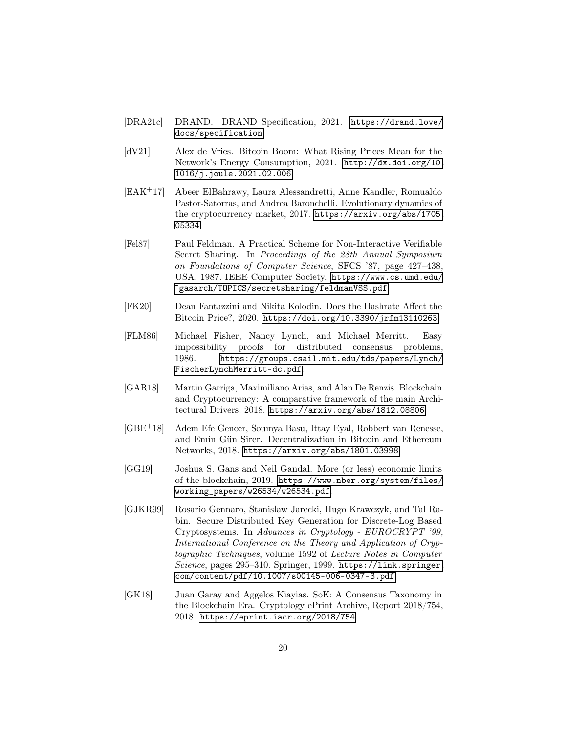- <span id="page-19-2"></span>[DRA21c] DRAND. DRAND Specification, 2021. [https://drand.love/](https://drand.love/docs/specification) [docs/specification](https://drand.love/docs/specification).
- <span id="page-19-7"></span>[dV21] Alex de Vries. Bitcoin Boom: What Rising Prices Mean for the Network's Energy Consumption, 2021. [http://dx.doi.org/10.](http://dx.doi.org/10.1016/j.joule.2021.02.006) [1016/j.joule.2021.02.006](http://dx.doi.org/10.1016/j.joule.2021.02.006).
- <span id="page-19-9"></span>[EAK<sup>+</sup>17] Abeer ElBahrawy, Laura Alessandretti, Anne Kandler, Romualdo Pastor-Satorras, and Andrea Baronchelli. Evolutionary dynamics of the cryptocurrency market, 2017. [https://arxiv.org/abs/1705.](https://arxiv.org/abs/1705.05334) [05334](https://arxiv.org/abs/1705.05334).
- <span id="page-19-3"></span>[Fel87] Paul Feldman. A Practical Scheme for Non-Interactive Verifiable Secret Sharing. In Proceedings of the 28th Annual Symposium on Foundations of Computer Science, SFCS '87, page 427–438, USA, 1987. IEEE Computer Society. [https://www.cs.umd.edu/](https://www.cs.umd.edu/~gasarch/TOPICS/secretsharing/feldmanVSS.pdf) [~gasarch/TOPICS/secretsharing/feldmanVSS.pdf](https://www.cs.umd.edu/~gasarch/TOPICS/secretsharing/feldmanVSS.pdf).
- <span id="page-19-10"></span>[FK20] Dean Fantazzini and Nikita Kolodin. Does the Hashrate Affect the Bitcoin Price?, 2020. <https://doi.org/10.3390/jrfm13110263>.
- <span id="page-19-1"></span>[FLM86] Michael Fisher, Nancy Lynch, and Michael Merritt. Easy impossibility proofs for distributed consensus problems, 1986. [https://groups.csail.mit.edu/tds/papers/Lynch/](https://groups.csail.mit.edu/tds/papers/Lynch/FischerLynchMerritt-dc.pdf) [FischerLynchMerritt-dc.pdf](https://groups.csail.mit.edu/tds/papers/Lynch/FischerLynchMerritt-dc.pdf).
- <span id="page-19-5"></span>[GAR18] Martin Garriga, Maximiliano Arias, and Alan De Renzis. Blockchain and Cryptocurrency: A comparative framework of the main Architectural Drivers, 2018. <https://arxiv.org/abs/1812.08806>.
- <span id="page-19-6"></span>[GBE+18] Adem Efe Gencer, Soumya Basu, Ittay Eyal, Robbert van Renesse, and Emin Gün Sirer. Decentralization in Bitcoin and Ethereum Networks, 2018. <https://arxiv.org/abs/1801.03998>.
- <span id="page-19-8"></span>[GG19] Joshua S. Gans and Neil Gandal. More (or less) economic limits of the blockchain, 2019. [https://www.nber.org/system/files/](https://www.nber.org/system/files/working_papers/w26534/w26534.pdf) [working\\_papers/w26534/w26534.pdf](https://www.nber.org/system/files/working_papers/w26534/w26534.pdf).
- <span id="page-19-4"></span>[GJKR99] Rosario Gennaro, Stanislaw Jarecki, Hugo Krawczyk, and Tal Rabin. Secure Distributed Key Generation for Discrete-Log Based Cryptosystems. In Advances in Cryptology - EUROCRYPT '99, International Conference on the Theory and Application of Cryptographic Techniques, volume 1592 of Lecture Notes in Computer Science, pages  $295-310$ . Springer, 1999. [https://link.springer.](https://link.springer.com/content/pdf/10.1007/s00145-006-0347-3.pdf) [com/content/pdf/10.1007/s00145-006-0347-3.pdf](https://link.springer.com/content/pdf/10.1007/s00145-006-0347-3.pdf).
- <span id="page-19-0"></span>[GK18] Juan Garay and Aggelos Kiayias. SoK: A Consensus Taxonomy in the Blockchain Era. Cryptology ePrint Archive, Report 2018/754, 2018. <https://eprint.iacr.org/2018/754>.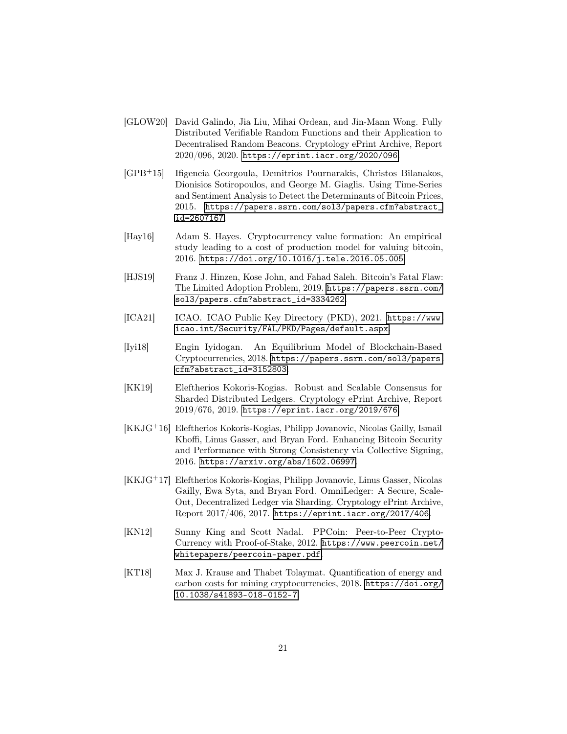- <span id="page-20-5"></span>[GLOW20] David Galindo, Jia Liu, Mihai Ordean, and Jin-Mann Wong. Fully Distributed Verifiable Random Functions and their Application to Decentralised Random Beacons. Cryptology ePrint Archive, Report 2020/096, 2020. <https://eprint.iacr.org/2020/096>.
- <span id="page-20-8"></span>[GPB<sup>+</sup>15] Ifigeneia Georgoula, Demitrios Pournarakis, Christos Bilanakos, Dionisios Sotiropoulos, and George M. Giaglis. Using Time-Series and Sentiment Analysis to Detect the Determinants of Bitcoin Prices, 2015. [https://papers.ssrn.com/sol3/papers.cfm?abstract\\_](https://papers.ssrn.com/sol3/papers.cfm?abstract_id=2607167) [id=2607167](https://papers.ssrn.com/sol3/papers.cfm?abstract_id=2607167).
- <span id="page-20-9"></span>[Hay16] Adam S. Hayes. Cryptocurrency value formation: An empirical study leading to a cost of production model for valuing bitcoin, 2016. <https://doi.org/10.1016/j.tele.2016.05.005>.
- <span id="page-20-3"></span>[HJS19] Franz J. Hinzen, Kose John, and Fahad Saleh. Bitcoin's Fatal Flaw: The Limited Adoption Problem, 2019. [https://papers.ssrn.com/](https://papers.ssrn.com/sol3/papers.cfm?abstract_id=3334262) [sol3/papers.cfm?abstract\\_id=3334262](https://papers.ssrn.com/sol3/papers.cfm?abstract_id=3334262).
- <span id="page-20-4"></span>[ICA21] ICAO. ICAO Public Key Directory (PKD), 2021. [https://www.](https://www.icao.int/Security/FAL/PKD/Pages/default.aspx) [icao.int/Security/FAL/PKD/Pages/default.aspx](https://www.icao.int/Security/FAL/PKD/Pages/default.aspx).
- <span id="page-20-10"></span>[Iyi18] Engin Iyidogan. An Equilibrium Model of Blockchain-Based Cryptocurrencies, 2018. [https://papers.ssrn.com/sol3/papers.](https://papers.ssrn.com/sol3/papers.cfm?abstract_id=3152803) [cfm?abstract\\_id=3152803](https://papers.ssrn.com/sol3/papers.cfm?abstract_id=3152803).
- <span id="page-20-2"></span>[KK19] Eleftherios Kokoris-Kogias. Robust and Scalable Consensus for Sharded Distributed Ledgers. Cryptology ePrint Archive, Report 2019/676, 2019. <https://eprint.iacr.org/2019/676>.
- <span id="page-20-0"></span>[KKJG+16] Eleftherios Kokoris-Kogias, Philipp Jovanovic, Nicolas Gailly, Ismail Khoffi, Linus Gasser, and Bryan Ford. Enhancing Bitcoin Security and Performance with Strong Consistency via Collective Signing, 2016. <https://arxiv.org/abs/1602.06997>.
- <span id="page-20-1"></span>[KKJG+17] Eleftherios Kokoris-Kogias, Philipp Jovanovic, Linus Gasser, Nicolas Gailly, Ewa Syta, and Bryan Ford. OmniLedger: A Secure, Scale-Out, Decentralized Ledger via Sharding. Cryptology ePrint Archive, Report 2017/406, 2017. <https://eprint.iacr.org/2017/406>.
- <span id="page-20-6"></span>[KN12] Sunny King and Scott Nadal. PPCoin: Peer-to-Peer Crypto-Currency with Proof-of-Stake, 2012. [https://www.peercoin.net/](https://www.peercoin.net/whitepapers/peercoin-paper.pdf) [whitepapers/peercoin-paper.pdf](https://www.peercoin.net/whitepapers/peercoin-paper.pdf).
- <span id="page-20-7"></span>[KT18] Max J. Krause and Thabet Tolaymat. Quantification of energy and carbon costs for mining cryptocurrencies, 2018. [https://doi.org/](https://doi.org/10.1038/s41893-018-0152-7) [10.1038/s41893-018-0152-7](https://doi.org/10.1038/s41893-018-0152-7).